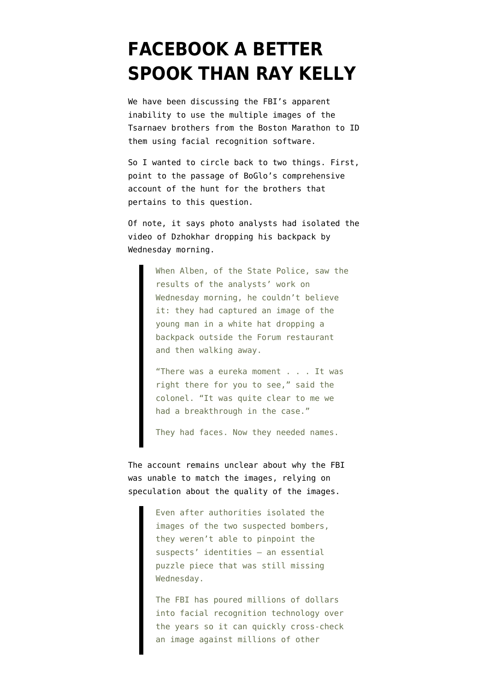## **[FACEBOOK A BETTER](https://www.emptywheel.net/2013/04/29/facebook-a-better-spook-than-ray-kelly/) [SPOOK THAN RAY KELLY](https://www.emptywheel.net/2013/04/29/facebook-a-better-spook-than-ray-kelly/)**

We have been discussing the FBI's apparent inability to use the multiple images of the Tsarnaev brothers from the Boston Marathon to ID them using facial recognition software.

So I wanted to circle back to two things. First, point to the passage of [BoGlo's comprehensive](http://www.bostonglobe.com/metro/2013/04/28/bombreconstruct/VbSZhzHm35yR88EVmVdbDM/story.html?s_campaign=sm_tw) [account](http://www.bostonglobe.com/metro/2013/04/28/bombreconstruct/VbSZhzHm35yR88EVmVdbDM/story.html?s_campaign=sm_tw) of the hunt for the brothers that pertains to this question.

Of note, it says photo analysts had isolated the video of Dzhokhar dropping his backpack by Wednesday morning.

> When Alben, of the State Police, saw the results of the analysts' work on Wednesday morning, he couldn't believe it: they had captured an image of the young man in a white hat dropping a backpack outside the Forum restaurant and then walking away.

"There was a eureka moment . . . It was right there for you to see," said the colonel. "It was quite clear to me we had a breakthrough in the case."

They had faces. Now they needed names.

The account remains unclear about why the FBI was unable to match the images, relying on speculation about the quality of the images.

> Even after authorities isolated the images of the two suspected bombers, they weren't able to pinpoint the suspects' identities — an essential puzzle piece that was still missing Wednesday.

The FBI has poured millions of dollars into facial recognition technology over the years so it can quickly cross-check an image against millions of other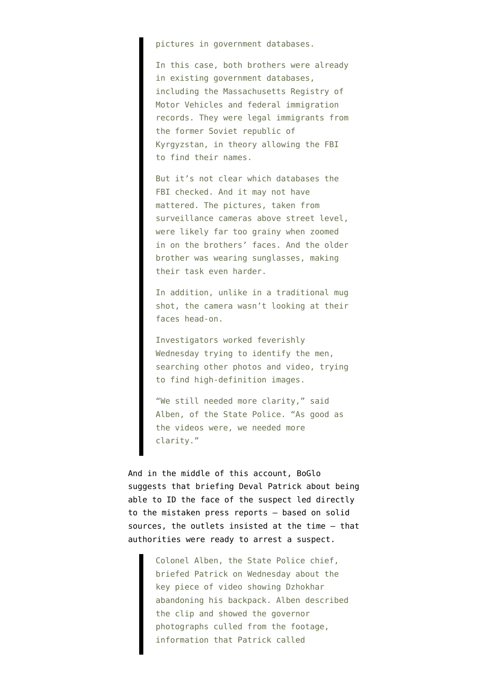pictures in government databases.

In this case, both brothers were already in existing government databases, including the Massachusetts Registry of Motor Vehicles and federal immigration records. They were legal immigrants from the former Soviet republic of Kyrgyzstan, in theory allowing the FBI to find their names.

But it's not clear which databases the FBI checked. And it may not have mattered. The pictures, taken from surveillance cameras above street level, were likely far too grainy when zoomed in on the brothers' faces. And the older brother was wearing sunglasses, making their task even harder.

In addition, unlike in a traditional mug shot, the camera wasn't looking at their faces head-on.

Investigators worked feverishly Wednesday trying to identify the men, searching other photos and video, trying to find high-definition images.

"We still needed more clarity," said Alben, of the State Police. "As good as the videos were, we needed more clarity."

And in the middle of this account, BoGlo suggests that briefing Deval Patrick about being able to ID the face of the suspect led directly to the mistaken press reports — based on solid sources, the outlets insisted at the time — that authorities were ready to arrest a suspect.

> Colonel Alben, the State Police chief, briefed Patrick on Wednesday about the key piece of video showing Dzhokhar abandoning his backpack. Alben described the clip and showed the governor photographs culled from the footage, information that Patrick called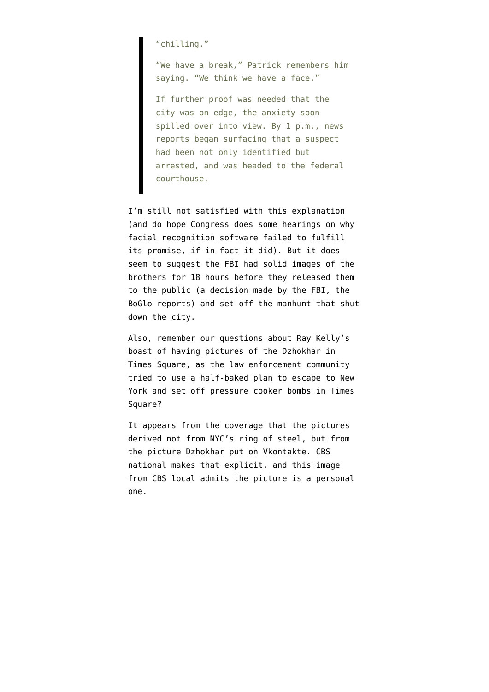"chilling."

"We have a break," Patrick remembers him saying. "We think we have a face."

If further proof was needed that the city was on edge, the anxiety soon spilled over into view. By 1 p.m., news reports began surfacing that a suspect had been not only identified but arrested, and was headed to the federal courthouse.

I'm still not satisfied with this explanation (and do hope Congress does some hearings on why facial recognition software failed to fulfill its promise, if in fact it did). But it does seem to suggest the FBI had solid images of the brothers for 18 hours before they released them to the public (a decision made by the FBI, the BoGlo reports) and set off the manhunt that shut down the city.

Also, remember our questions about Ray Kelly's boast of having pictures of the Dzhokhar in Times Square, as the law enforcement community tried to use a half-baked plan to escape to New York and set off pressure cooker bombs in Times Square?

It appears from the coverage that the pictures derived not from NYC's ring of steel, but from the picture Dzhokhar put on Vkontakte. CBS [national makes that explicit](http://www.cbsnews.com/8301-201_162-57581554/boston-bombings-suspect-dzhokhar-tsarnaev-taken-from-hospital-to-prison/), and this image from CBS [local admits the picture is a personal](http://newyork.cbslocal.com/2013/04/26/boston-bombing-suspect-dzhokhar-tsarnaev-out-of-hospital/) [one.](http://newyork.cbslocal.com/2013/04/26/boston-bombing-suspect-dzhokhar-tsarnaev-out-of-hospital/)